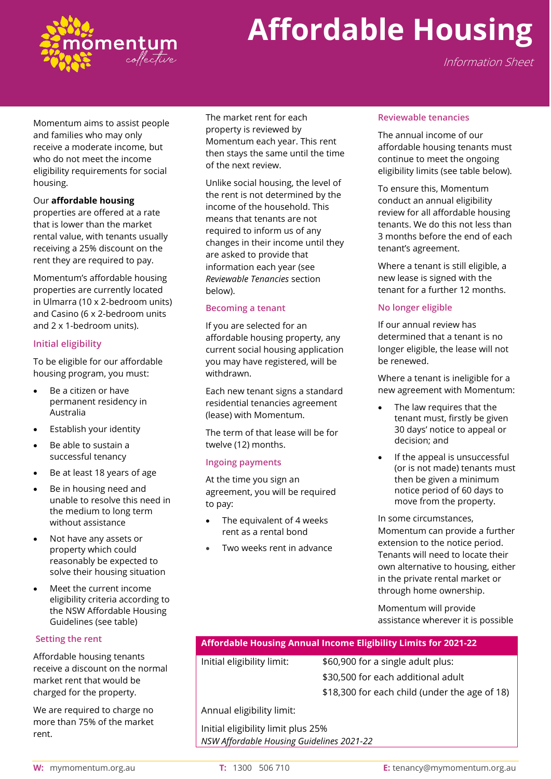

# **Affordable Housing**

Information Sheet

Momentum aims to assist people and families who may only receive a moderate income, but who do not meet the income eligibility requirements for social housing.

#### Our **affordable housing**

properties are offered at a rate that is lower than the market rental value, with tenants usually receiving a 25% discount on the rent they are required to pay.

Momentum's affordable housing properties are currently located in Ulmarra (10 x 2-bedroom units) and Casino (6 x 2-bedroom units and 2 x 1-bedroom units).

#### **Initial eligibility**

To be eligible for our affordable housing program, you must:

- Be a citizen or have permanent residency in Australia
- Establish your identity
- Be able to sustain a successful tenancy
- Be at least 18 years of age
- Be in housing need and unable to resolve this need in the medium to long term without assistance
- Not have any assets or property which could reasonably be expected to solve their housing situation
- Meet the current income eligibility criteria according to the NSW Affordable Housing Guidelines (see table)

#### **Setting the rent**

Affordable housing tenants receive a discount on the normal market rent that would be charged for the property.

We are required to charge no more than 75% of the market rent.

The market rent for each property is reviewed by Momentum each year. This rent then stays the same until the time of the next review.

Unlike social housing, the level of the rent is not determined by the income of the household. This means that tenants are not required to inform us of any changes in their income until they are asked to provide that information each year (see *Reviewable Tenancies* section below).

#### **Becoming a tenant**

If you are selected for an affordable housing property, any current social housing application you may have registered, will be withdrawn.

Each new tenant signs a standard residential tenancies agreement (lease) with Momentum.

The term of that lease will be for twelve (12) months.

#### **Ingoing payments**

At the time you sign an agreement, you will be required to pay:

- The equivalent of 4 weeks rent as a rental bond
- Two weeks rent in advance

#### **Reviewable tenancies**

The annual income of our affordable housing tenants must continue to meet the ongoing eligibility limits (see table below).

To ensure this, Momentum conduct an annual eligibility review for all affordable housing tenants. We do this not less than 3 months before the end of each tenant's agreement.

Where a tenant is still eligible, a new lease is signed with the tenant for a further 12 months.

#### **No longer eligible**

If our annual review has determined that a tenant is no longer eligible, the lease will not be renewed.

Where a tenant is ineligible for a new agreement with Momentum:

- The law requires that the tenant must, firstly be given 30 days' notice to appeal or decision; and
- If the appeal is unsuccessful (or is not made) tenants must then be given a minimum notice period of 60 days to move from the property.

In some circumstances, Momentum can provide a further extension to the notice period. Tenants will need to locate their own alternative to housing, either in the private rental market or through home ownership.

Momentum will provide assistance wherever it is possible

### **Affordable Housing Annual Income Eligibility Limits for 2021-22**

Initial eligibility limit: \$60,900 for a single adult plus: \$30,500 for each additional adult \$18,300 for each child (under the age of 18)

Annual eligibility limit:

Initial eligibility limit plus 25% *NSW Affordable Housing Guidelines 2021-22*